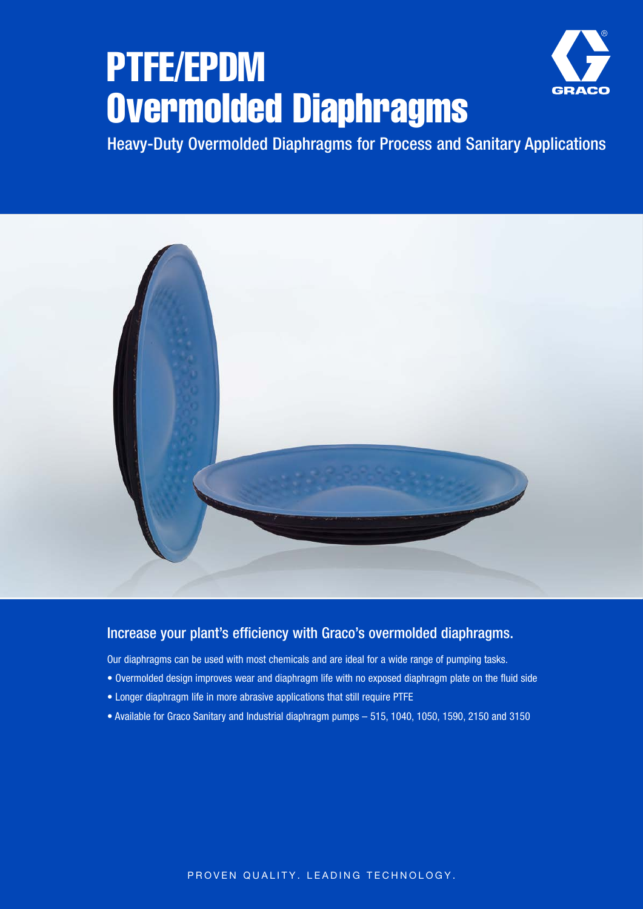# PTFE/EPDM Overmolded Diaphragms



Heavy-Duty Overmolded Diaphragms for Process and Sanitary Applications



### Increase your plant's efficiency with Graco's overmolded diaphragms.

Our diaphragms can be used with most chemicals and are ideal for a wide range of pumping tasks.

- Overmolded design improves wear and diaphragm life with no exposed diaphragm plate on the fluid side
- Longer diaphragm life in more abrasive applications that still require PTFE
- Available for Graco Sanitary and Industrial diaphragm pumps 515, 1040, 1050, 1590, 2150 and 3150